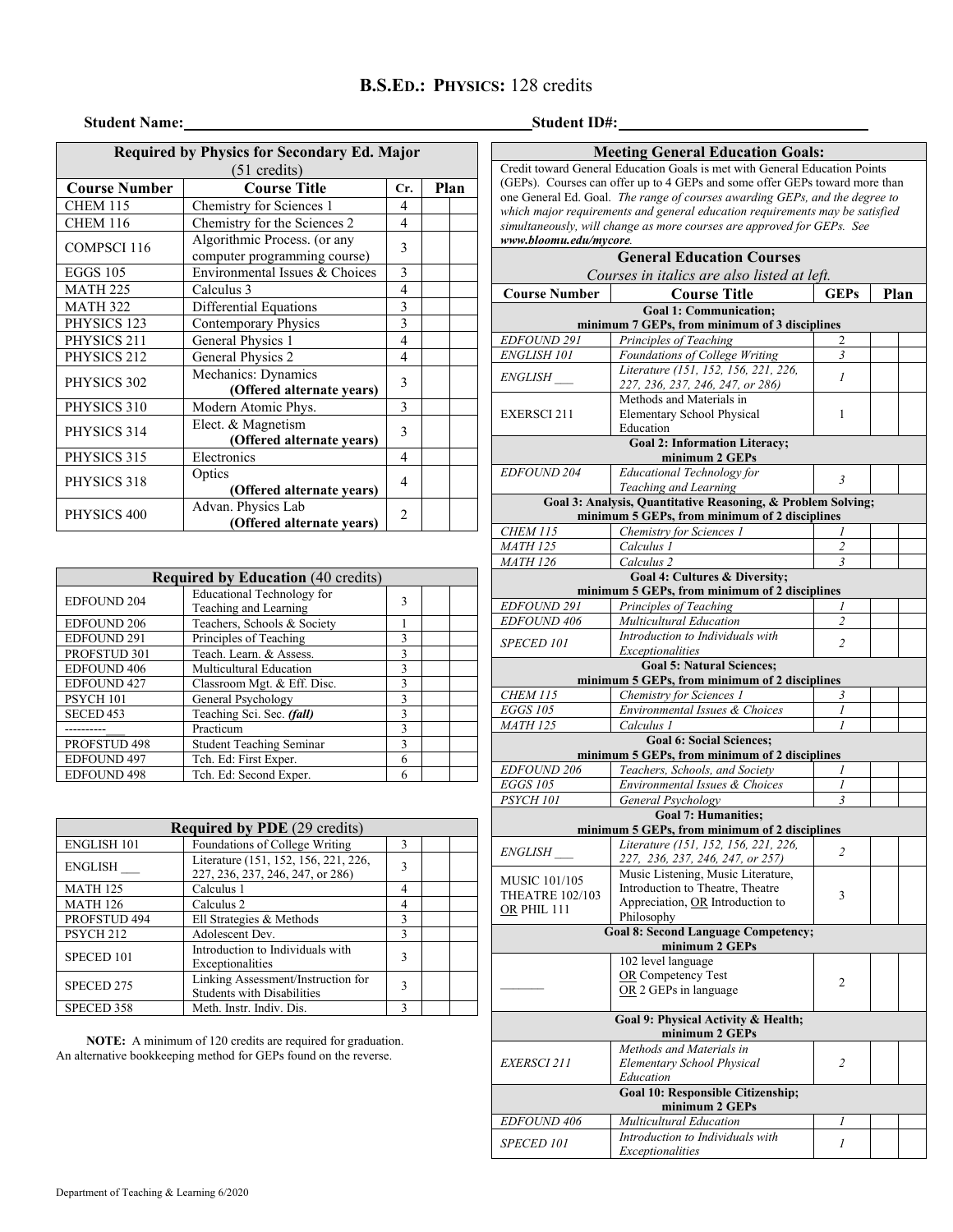## **B.S.ED.: PHYSICS:** 128 credits

## **Student Name: Student ID#:**

## **Required by Physics for Secondary Ed. Major** (51 credits) **Course Number Course Title Cr. Plan**<br>CHEM 115 **Chemistry for Sciences 1** 4 CHEM 115 Chemistry for Sciences 1 4<br>CHEM 116 Chemistry for the Sciences 2 4 Chemistry for the Sciences 2 COMPSCI 116 Algorithmic Process. (or any Algorium c Process. (or any<br>
computer programming course)<br>
Environmental Issues & Choices EGGS 105 Environmental Issues & Choices 3<br>MATH 225 Calculus 3 4 MATH 225 Calculus 3 4<br>MATH 322 Differential Equations 3 MATH 322 Differential Equations PHYSICS 123 Contemporary Physics 3 PHYSICS 211 General Physics 1 4 PHYSICS 212 General Physics 2 4 PHYSICS 302 Mechanics: Dynamics **(Offered alternate years)** <sup>3</sup> PHYSICS 310 Modern Atomic Phys. 3 PHYSICS 314 Elect. & Magnetism **(Offered alternate years)** <sup>3</sup> PHYSICS 315 Electronics PHYSICS 318 Optics **(Offered alternate years)** <sup>4</sup> PHYSICS 400 Advan. Physics Lab 1. Physics Lab<br>**(Offered alternate years)** 2

| <b>Required by Education</b> (40 credits) |                                                            |   |  |  |  |  |
|-------------------------------------------|------------------------------------------------------------|---|--|--|--|--|
| <b>EDFOUND 204</b>                        | <b>Educational Technology for</b><br>Teaching and Learning | 3 |  |  |  |  |
| <b>EDFOUND 206</b>                        | Teachers, Schools & Society                                |   |  |  |  |  |
| EDFOUND 291                               | Principles of Teaching                                     | 3 |  |  |  |  |
| PROFSTUD 301                              | Teach. Learn. & Assess.                                    | 3 |  |  |  |  |
| <b>EDFOUND 406</b>                        | Multicultural Education                                    | 3 |  |  |  |  |
| <b>EDFOUND 427</b>                        | Classroom Mgt. & Eff. Disc.                                |   |  |  |  |  |
| PSYCH 101                                 | General Psychology                                         |   |  |  |  |  |
| SECED <sub>453</sub>                      | Teaching Sci. Sec. (fall)                                  |   |  |  |  |  |
|                                           | Practicum                                                  | 3 |  |  |  |  |
| PROFSTUD 498                              | <b>Student Teaching Seminar</b>                            | 3 |  |  |  |  |
| <b>EDFOUND 497</b>                        | Tch. Ed: First Exper.                                      | 6 |  |  |  |  |
| <b>EDFOUND 498</b>                        | Tch. Ed: Second Exper.                                     | 6 |  |  |  |  |

| <b>Required by PDE</b> (29 credits) |                                                                          |              |  |  |  |  |
|-------------------------------------|--------------------------------------------------------------------------|--------------|--|--|--|--|
| <b>ENGLISH 101</b>                  | Foundations of College Writing                                           | $\mathbf{3}$ |  |  |  |  |
| <b>ENGLISH</b>                      | Literature (151, 152, 156, 221, 226,<br>227, 236, 237, 246, 247, or 286) | $\mathbf{3}$ |  |  |  |  |
| <b>MATH 125</b>                     | Calculus 1                                                               | 4            |  |  |  |  |
| <b>MATH 126</b>                     | Calculus 2                                                               | 4            |  |  |  |  |
| PROFSTUD 494                        | Ell Strategies & Methods                                                 | $\mathbf{3}$ |  |  |  |  |
| PSYCH <sub>212</sub>                | Adolescent Dev.                                                          | $\mathbf{3}$ |  |  |  |  |
| SPECED 101                          | Introduction to Individuals with<br>Exceptionalities                     | 3            |  |  |  |  |
| SPECED 275                          | Linking Assessment/Instruction for<br><b>Students with Disabilities</b>  |              |  |  |  |  |
| SPECED 358                          | Meth. Instr. Indiv. Dis.                                                 | ٩            |  |  |  |  |

**NOTE:** A minimum of 120 credits are required for graduation. An alternative bookkeeping method for GEPs found on the reverse.

| <b>Meeting General Education Goals:</b><br>Credit toward General Education Goals is met with General Education Points                                       |                                                                                  |                |  |  |  |  |  |  |  |
|-------------------------------------------------------------------------------------------------------------------------------------------------------------|----------------------------------------------------------------------------------|----------------|--|--|--|--|--|--|--|
|                                                                                                                                                             | (GEPs). Courses can offer up to 4 GEPs and some offer GEPs toward more than      |                |  |  |  |  |  |  |  |
|                                                                                                                                                             |                                                                                  |                |  |  |  |  |  |  |  |
| one General Ed. Goal. The range of courses awarding GEPs, and the degree to<br>which major requirements and general education requirements may be satisfied |                                                                                  |                |  |  |  |  |  |  |  |
|                                                                                                                                                             | simultaneously, will change as more courses are approved for GEPs. See           |                |  |  |  |  |  |  |  |
| www.bloomu.edu/mycore.                                                                                                                                      |                                                                                  |                |  |  |  |  |  |  |  |
| <b>General Education Courses</b>                                                                                                                            |                                                                                  |                |  |  |  |  |  |  |  |
| Courses in italics are also listed at left.<br>Plan                                                                                                         |                                                                                  |                |  |  |  |  |  |  |  |
| <b>Course Number</b>                                                                                                                                        | <b>Course Title</b>                                                              | <b>GEPs</b>    |  |  |  |  |  |  |  |
| <b>Goal 1: Communication:</b><br>minimum 7 GEPs, from minimum of 3 disciplines                                                                              |                                                                                  |                |  |  |  |  |  |  |  |
| EDFOUND 291                                                                                                                                                 | Principles of Teaching                                                           | 2              |  |  |  |  |  |  |  |
| ENGLISH 101                                                                                                                                                 | Foundations of College Writing                                                   | 3              |  |  |  |  |  |  |  |
|                                                                                                                                                             | Literature (151, 152, 156, 221, 226,                                             |                |  |  |  |  |  |  |  |
| <i>ENGLISH</i>                                                                                                                                              | 227, 236, 237, 246, 247, or 286)                                                 | $\mathcal{I}$  |  |  |  |  |  |  |  |
|                                                                                                                                                             | Methods and Materials in                                                         |                |  |  |  |  |  |  |  |
| <b>EXERSCI211</b>                                                                                                                                           | Elementary School Physical                                                       | 1              |  |  |  |  |  |  |  |
|                                                                                                                                                             | Education                                                                        |                |  |  |  |  |  |  |  |
|                                                                                                                                                             | <b>Goal 2: Information Literacy;</b><br>minimum 2 GEPs                           |                |  |  |  |  |  |  |  |
| <b>EDFOUND 204</b>                                                                                                                                          | Educational Technology for                                                       | 3              |  |  |  |  |  |  |  |
|                                                                                                                                                             | Teaching and Learning                                                            |                |  |  |  |  |  |  |  |
|                                                                                                                                                             | Goal 3: Analysis, Quantitative Reasoning, & Problem Solving;                     |                |  |  |  |  |  |  |  |
|                                                                                                                                                             | minimum 5 GEPs, from minimum of 2 disciplines                                    |                |  |  |  |  |  |  |  |
| <b>CHEM 115</b>                                                                                                                                             | Chemistry for Sciences 1                                                         | 1              |  |  |  |  |  |  |  |
| <b>MATH 125</b>                                                                                                                                             | Calculus 1                                                                       | $\overline{2}$ |  |  |  |  |  |  |  |
| <i>MATH 126</i>                                                                                                                                             | Calculus <sub>2</sub><br>Goal 4: Cultures & Diversity;                           | 3              |  |  |  |  |  |  |  |
|                                                                                                                                                             | minimum 5 GEPs, from minimum of 2 disciplines                                    |                |  |  |  |  |  |  |  |
| <b>EDFOUND 291</b>                                                                                                                                          | Principles of Teaching                                                           | 1              |  |  |  |  |  |  |  |
| EDFOUND 406                                                                                                                                                 | Multicultural Education                                                          | $\overline{c}$ |  |  |  |  |  |  |  |
|                                                                                                                                                             | Introduction to Individuals with                                                 |                |  |  |  |  |  |  |  |
| <b>SPECED 101</b>                                                                                                                                           | Exceptionalities                                                                 | $\overline{c}$ |  |  |  |  |  |  |  |
| <b>Goal 5: Natural Sciences:</b>                                                                                                                            |                                                                                  |                |  |  |  |  |  |  |  |
|                                                                                                                                                             | minimum 5 GEPs, from minimum of 2 disciplines                                    |                |  |  |  |  |  |  |  |
| <b>CHEM 115</b>                                                                                                                                             | Chemistry for Sciences 1                                                         | 3              |  |  |  |  |  |  |  |
| <b>EGGS 105</b>                                                                                                                                             | Environmental Issues & Choices                                                   | 1              |  |  |  |  |  |  |  |
| <b>MATH 125</b>                                                                                                                                             | Calculus 1                                                                       | $\overline{I}$ |  |  |  |  |  |  |  |
|                                                                                                                                                             | <b>Goal 6: Social Sciences:</b><br>minimum 5 GEPs, from minimum of 2 disciplines |                |  |  |  |  |  |  |  |
| EDFOUND 206                                                                                                                                                 | Teachers, Schools, and Society                                                   | 1              |  |  |  |  |  |  |  |
| <b>EGGS 105</b>                                                                                                                                             | Environmental Issues & Choices                                                   | Ι              |  |  |  |  |  |  |  |
| PSYCH 101                                                                                                                                                   | General Psychology                                                               | 3              |  |  |  |  |  |  |  |
|                                                                                                                                                             | <b>Goal 7: Humanities:</b>                                                       |                |  |  |  |  |  |  |  |
|                                                                                                                                                             | minimum 5 GEPs, from minimum of 2 disciplines                                    |                |  |  |  |  |  |  |  |
| <i>ENGLISH</i>                                                                                                                                              | Literature (151, 152, 156, 221, 226,                                             | $\overline{c}$ |  |  |  |  |  |  |  |
|                                                                                                                                                             | 227, 236, 237, 246, 247, or 257)                                                 |                |  |  |  |  |  |  |  |
| <b>MUSIC 101/105</b>                                                                                                                                        | Music Listening, Music Literature,                                               |                |  |  |  |  |  |  |  |
| <b>THEATRE 102/103</b>                                                                                                                                      | Introduction to Theatre, Theatre                                                 | 3              |  |  |  |  |  |  |  |
| OR PHIL 111                                                                                                                                                 | Appreciation, OR Introduction to<br>Philosophy                                   |                |  |  |  |  |  |  |  |
|                                                                                                                                                             | <b>Goal 8: Second Language Competency;</b>                                       |                |  |  |  |  |  |  |  |
|                                                                                                                                                             | minimum 2 GEPs                                                                   |                |  |  |  |  |  |  |  |
|                                                                                                                                                             | 102 level language                                                               |                |  |  |  |  |  |  |  |
|                                                                                                                                                             | OR Competency Test                                                               | 2              |  |  |  |  |  |  |  |
|                                                                                                                                                             | OR 2 GEPs in language                                                            |                |  |  |  |  |  |  |  |
|                                                                                                                                                             |                                                                                  |                |  |  |  |  |  |  |  |
|                                                                                                                                                             | Goal 9: Physical Activity & Health;<br>minimum 2 GEPs                            |                |  |  |  |  |  |  |  |
|                                                                                                                                                             | Methods and Materials in                                                         |                |  |  |  |  |  |  |  |
| <i>EXERSCI 211</i>                                                                                                                                          | Elementary School Physical                                                       | 2              |  |  |  |  |  |  |  |
|                                                                                                                                                             | Education                                                                        |                |  |  |  |  |  |  |  |
| Goal 10: Responsible Citizenship;                                                                                                                           |                                                                                  |                |  |  |  |  |  |  |  |
|                                                                                                                                                             | minimum 2 GEPs<br>Multicultural Education                                        | 1              |  |  |  |  |  |  |  |
| <i>EDFOUND</i> 406                                                                                                                                          | Introduction to Individuals with                                                 |                |  |  |  |  |  |  |  |
| SPECED 101                                                                                                                                                  | Exceptionalities                                                                 | 1              |  |  |  |  |  |  |  |